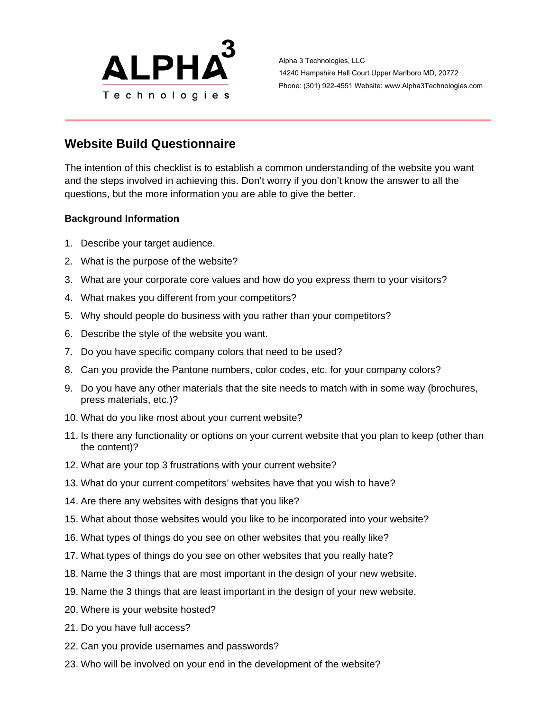

Alpha 3 Technologies, LLC 14240 Hampshire Hall Court Upper Marlboro MD, 20772 Phone: (301) 922-4551 Website: www.Alpha3Technologies.com

## **Website Build Questionnaire**

The intention of this checklist is to establish a common understanding of the website you want and the steps involved in achieving this. Don't worry if you don't know the answer to all the questions, but the more information you are able to give the better.

## **Background Information**

- 1. Describe your target audience.
- 2. What is the purpose of the website?
- 3. What are your corporate core values and how do you express them to your visitors?
- 4. What makes you different from your competitors?
- 5. Why should people do business with you rather than your competitors?
- 6. Describe the style of the website you want.
- 7. Do you have specific company colors that need to be used?
- 8. Can you provide the Pantone numbers, color codes, etc. for your company colors?
- 9. Do you have any other materials that the site needs to match with in some way (brochures, press materials, etc.)?
- 10. What do you like most about your current website?
- 11. Is there any functionality or options on your current website that you plan to keep (other than the content)?
- 12. What are your top 3 frustrations with your current website?
- 13. What do your current competitors' websites have that you wish to have?
- 14. Are there any websites with designs that you like?
- 15. What about those websites would you like to be incorporated into your website?
- 16. What types of things do you see on other websites that you really like?
- 17. What types of things do you see on other websites that you really hate?
- 18. Name the 3 things that are most important in the design of your new website.
- 19. Name the 3 things that are least important in the design of your new website.
- 20. Where is your website hosted?
- 21. Do you have full access?
- 22. Can you provide usernames and passwords?
- 23. Who will be involved on your end in the development of the website?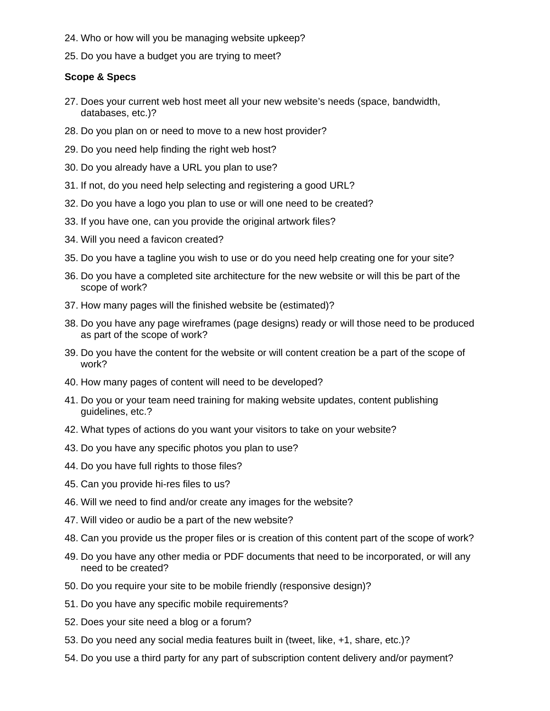- 24. Who or how will you be managing website upkeep?
- 25. Do you have a budget you are trying to meet?

## **Scope & Specs**

- 27. Does your current web host meet all your new website's needs (space, bandwidth, databases, etc.)?
- 28. Do you plan on or need to move to a new host provider?
- 29. Do you need help finding the right web host?
- 30. Do you already have a URL you plan to use?
- 31. If not, do you need help selecting and registering a good URL?
- 32. Do you have a logo you plan to use or will one need to be created?
- 33. If you have one, can you provide the original artwork files?
- 34. Will you need a favicon created?
- 35. Do you have a tagline you wish to use or do you need help creating one for your site?
- 36. Do you have a completed site architecture for the new website or will this be part of the scope of work?
- 37. How many pages will the finished website be (estimated)?
- 38. Do you have any page wireframes (page designs) ready or will those need to be produced as part of the scope of work?
- 39. Do you have the content for the website or will content creation be a part of the scope of work?
- 40. How many pages of content will need to be developed?
- 41. Do you or your team need training for making website updates, content publishing guidelines, etc.?
- 42. What types of actions do you want your visitors to take on your website?
- 43. Do you have any specific photos you plan to use?
- 44. Do you have full rights to those files?
- 45. Can you provide hi-res files to us?
- 46. Will we need to find and/or create any images for the website?
- 47. Will video or audio be a part of the new website?
- 48. Can you provide us the proper files or is creation of this content part of the scope of work?
- 49. Do you have any other media or PDF documents that need to be incorporated, or will any need to be created?
- 50. Do you require your site to be mobile friendly (responsive design)?
- 51. Do you have any specific mobile requirements?
- 52. Does your site need a blog or a forum?
- 53. Do you need any social media features built in (tweet, like, +1, share, etc.)?
- 54. Do you use a third party for any part of subscription content delivery and/or payment?